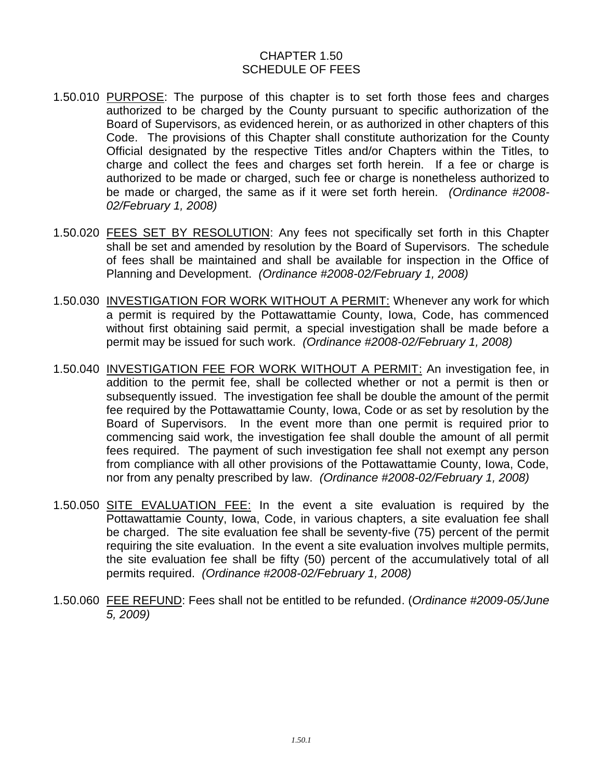## CHAPTER 1.50 SCHEDULE OF FEES

- 1.50.010 PURPOSE: The purpose of this chapter is to set forth those fees and charges authorized to be charged by the County pursuant to specific authorization of the Board of Supervisors, as evidenced herein, or as authorized in other chapters of this Code. The provisions of this Chapter shall constitute authorization for the County Official designated by the respective Titles and/or Chapters within the Titles, to charge and collect the fees and charges set forth herein. If a fee or charge is authorized to be made or charged, such fee or charge is nonetheless authorized to be made or charged, the same as if it were set forth herein. *(Ordinance #2008- 02/February 1, 2008)*
- 1.50.020 FEES SET BY RESOLUTION: Any fees not specifically set forth in this Chapter shall be set and amended by resolution by the Board of Supervisors. The schedule of fees shall be maintained and shall be available for inspection in the Office of Planning and Development. *(Ordinance #2008-02/February 1, 2008)*
- 1.50.030 INVESTIGATION FOR WORK WITHOUT A PERMIT: Whenever any work for which a permit is required by the Pottawattamie County, Iowa, Code, has commenced without first obtaining said permit, a special investigation shall be made before a permit may be issued for such work. *(Ordinance #2008-02/February 1, 2008)*
- 1.50.040 INVESTIGATION FEE FOR WORK WITHOUT A PERMIT: An investigation fee, in addition to the permit fee, shall be collected whether or not a permit is then or subsequently issued. The investigation fee shall be double the amount of the permit fee required by the Pottawattamie County, Iowa, Code or as set by resolution by the Board of Supervisors. In the event more than one permit is required prior to commencing said work, the investigation fee shall double the amount of all permit fees required. The payment of such investigation fee shall not exempt any person from compliance with all other provisions of the Pottawattamie County, Iowa, Code, nor from any penalty prescribed by law. *(Ordinance #2008-02/February 1, 2008)*
- 1.50.050 SITE EVALUATION FEE: In the event a site evaluation is required by the Pottawattamie County, Iowa, Code, in various chapters, a site evaluation fee shall be charged. The site evaluation fee shall be seventy-five (75) percent of the permit requiring the site evaluation. In the event a site evaluation involves multiple permits, the site evaluation fee shall be fifty (50) percent of the accumulatively total of all permits required. *(Ordinance #2008-02/February 1, 2008)*
- 1.50.060 FEE REFUND: Fees shall not be entitled to be refunded. (*Ordinance #2009-05/June 5, 2009)*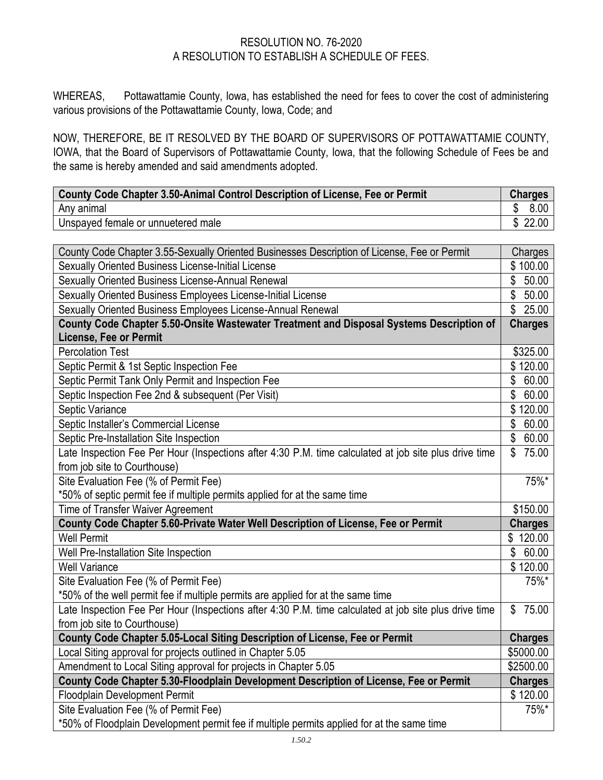## RESOLUTION NO. 76-2020 A RESOLUTION TO ESTABLISH A SCHEDULE OF FEES.

WHEREAS, Pottawattamie County, Iowa, has established the need for fees to cover the cost of administering various provisions of the Pottawattamie County, Iowa, Code; and

NOW, THEREFORE, BE IT RESOLVED BY THE BOARD OF SUPERVISORS OF POTTAWATTAMIE COUNTY, IOWA, that the Board of Supervisors of Pottawattamie County, Iowa, that the following Schedule of Fees be and the same is hereby amended and said amendments adopted.

| County Code Chapter 3.50-Animal Control Description of License, Fee or Permit | <b>Charges</b> |
|-------------------------------------------------------------------------------|----------------|
| Any animal                                                                    | $8.00$ .       |
| Unspayed female or unnuetered male                                            | \$22.00        |

| County Code Chapter 3.55-Sexually Oriented Businesses Description of License, Fee or Permit                                         | Charges        |
|-------------------------------------------------------------------------------------------------------------------------------------|----------------|
| Sexually Oriented Business License-Initial License                                                                                  | \$100.00       |
| Sexually Oriented Business License-Annual Renewal                                                                                   | \$<br>50.00    |
| Sexually Oriented Business Employees License-Initial License                                                                        | \$50.00        |
| Sexually Oriented Business Employees License-Annual Renewal                                                                         | \$25.00        |
| County Code Chapter 5.50-Onsite Wastewater Treatment and Disposal Systems Description of                                            | <b>Charges</b> |
| License, Fee or Permit                                                                                                              |                |
| <b>Percolation Test</b>                                                                                                             | \$325.00       |
| Septic Permit & 1st Septic Inspection Fee                                                                                           | \$120.00       |
| Septic Permit Tank Only Permit and Inspection Fee                                                                                   | \$60.00        |
| Septic Inspection Fee 2nd & subsequent (Per Visit)                                                                                  | \$<br>60.00    |
| Septic Variance                                                                                                                     | \$120.00       |
| Septic Installer's Commercial License                                                                                               | 60.00<br>\$    |
| Septic Pre-Installation Site Inspection                                                                                             | \$60.00        |
| Late Inspection Fee Per Hour (Inspections after 4:30 P.M. time calculated at job site plus drive time                               | \$<br>75.00    |
| from job site to Courthouse)                                                                                                        |                |
| Site Evaluation Fee (% of Permit Fee)                                                                                               | 75%*           |
| *50% of septic permit fee if multiple permits applied for at the same time                                                          |                |
| Time of Transfer Waiver Agreement                                                                                                   | \$150.00       |
| County Code Chapter 5.60-Private Water Well Description of License, Fee or Permit                                                   | <b>Charges</b> |
| <b>Well Permit</b>                                                                                                                  | \$120.00       |
| Well Pre-Installation Site Inspection                                                                                               | \$60.00        |
| <b>Well Variance</b>                                                                                                                | \$120.00       |
| Site Evaluation Fee (% of Permit Fee)                                                                                               | 75%*           |
| *50% of the well permit fee if multiple permits are applied for at the same time                                                    |                |
| Late Inspection Fee Per Hour (Inspections after 4:30 P.M. time calculated at job site plus drive time                               | 75.00<br>\$    |
| from job site to Courthouse)                                                                                                        |                |
| County Code Chapter 5.05-Local Siting Description of License, Fee or Permit                                                         | <b>Charges</b> |
| Local Siting approval for projects outlined in Chapter 5.05                                                                         | \$5000.00      |
|                                                                                                                                     |                |
| Amendment to Local Siting approval for projects in Chapter 5.05                                                                     | \$2500.00      |
| County Code Chapter 5.30-Floodplain Development Description of License, Fee or Permit                                               | <b>Charges</b> |
| Floodplain Development Permit                                                                                                       | \$120.00       |
| Site Evaluation Fee (% of Permit Fee)<br>*50% of Floodplain Development permit fee if multiple permits applied for at the same time | 75%*           |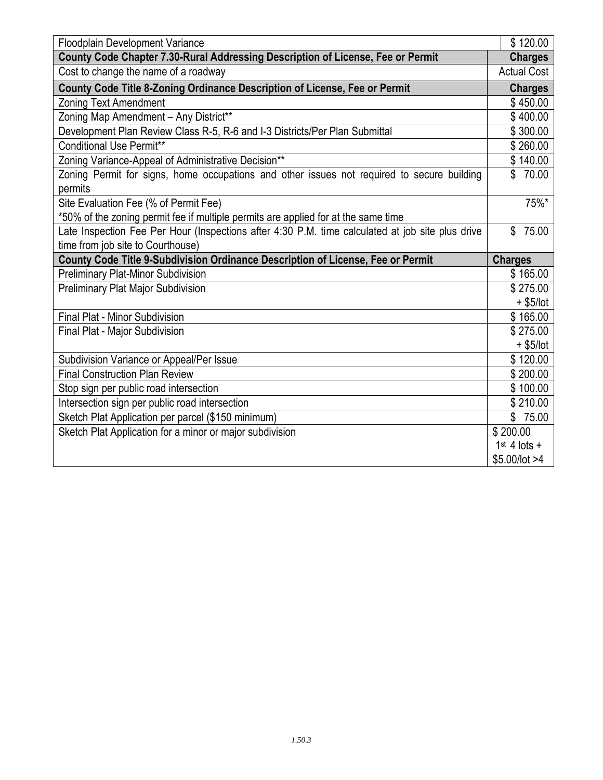| Floodplain Development Variance                                                                  |                                 |
|--------------------------------------------------------------------------------------------------|---------------------------------|
| County Code Chapter 7.30-Rural Addressing Description of License, Fee or Permit                  |                                 |
| Cost to change the name of a roadway                                                             | <b>Actual Cost</b>              |
| County Code Title 8-Zoning Ordinance Description of License, Fee or Permit                       | <b>Charges</b>                  |
| Zoning Text Amendment                                                                            | \$450.00                        |
| Zoning Map Amendment - Any District**                                                            | \$400.00                        |
| Development Plan Review Class R-5, R-6 and I-3 Districts/Per Plan Submittal                      | \$300.00                        |
| <b>Conditional Use Permit**</b>                                                                  | \$260.00                        |
| Zoning Variance-Appeal of Administrative Decision**                                              | \$140.00                        |
| Zoning Permit for signs, home occupations and other issues not required to secure building       | \$<br>70.00                     |
| permits                                                                                          |                                 |
| Site Evaluation Fee (% of Permit Fee)                                                            | 75%*                            |
| *50% of the zoning permit fee if multiple permits are applied for at the same time               |                                 |
| Late Inspection Fee Per Hour (Inspections after 4:30 P.M. time calculated at job site plus drive | \$<br>75.00                     |
| time from job site to Courthouse)                                                                |                                 |
|                                                                                                  |                                 |
| County Code Title 9-Subdivision Ordinance Description of License, Fee or Permit                  | <b>Charges</b>                  |
| Preliminary Plat-Minor Subdivision                                                               | \$165.00                        |
| Preliminary Plat Major Subdivision                                                               | \$275.00                        |
|                                                                                                  | $+$ \$5/lot                     |
| Final Plat - Minor Subdivision                                                                   | \$165.00                        |
| Final Plat - Major Subdivision                                                                   | \$275.00                        |
|                                                                                                  | $+$ \$5/lot                     |
| Subdivision Variance or Appeal/Per Issue                                                         | \$120.00                        |
| <b>Final Construction Plan Review</b>                                                            | \$200.00                        |
| Stop sign per public road intersection                                                           | \$100.00                        |
| Intersection sign per public road intersection                                                   | \$210.00                        |
| Sketch Plat Application per parcel (\$150 minimum)                                               | \$75.00                         |
| Sketch Plat Application for a minor or major subdivision                                         | \$200.00                        |
|                                                                                                  | $1st$ 4 lots +<br>\$5.00/lot >4 |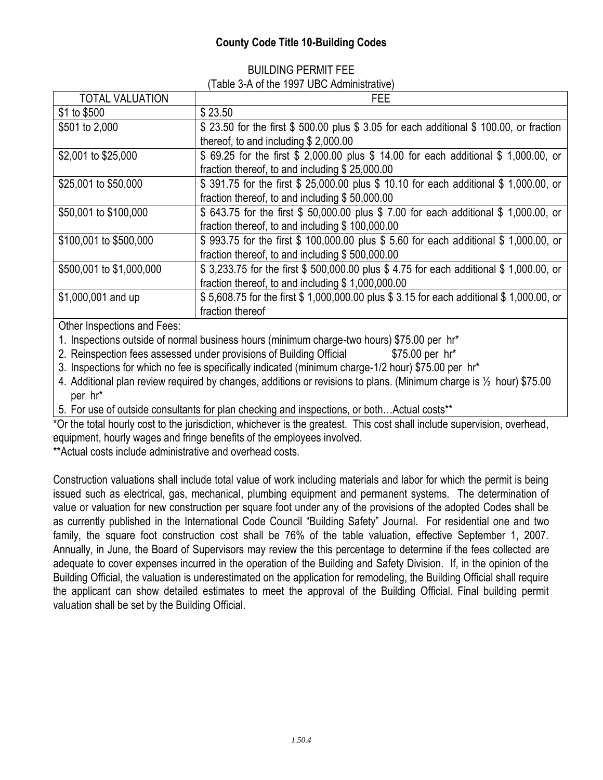# **County Code Title 10-Building Codes**

#### BUILDING PERMIT FEE (Table 3-A of the 1997 UBC Administrative)

| <b>TOTAL VALUATION</b>   | <b>FEE</b>                                                                               |
|--------------------------|------------------------------------------------------------------------------------------|
| \$1 to \$500             | \$23.50                                                                                  |
| \$501 to 2,000           | \$ 23.50 for the first \$ 500.00 plus \$ 3.05 for each additional \$ 100.00, or fraction |
|                          | thereof, to and including \$2,000.00                                                     |
| \$2,001 to \$25,000      | \$ 69.25 for the first \$ 2,000.00 plus \$ 14.00 for each additional \$ 1,000.00, or     |
|                          | fraction thereof, to and including \$25,000.00                                           |
| \$25,001 to \$50,000     | \$ 391.75 for the first \$ 25,000.00 plus \$ 10.10 for each additional \$ 1,000.00, or   |
|                          | fraction thereof, to and including \$50,000.00                                           |
| \$50,001 to \$100,000    | \$ 643.75 for the first \$ 50,000.00 plus \$ 7.00 for each additional \$ 1,000.00, or    |
|                          | fraction thereof, to and including \$100,000.00                                          |
| \$100,001 to \$500,000   | \$993.75 for the first \$100,000.00 plus \$5.60 for each additional \$1,000.00, or       |
|                          | fraction thereof, to and including \$500,000.00                                          |
| \$500,001 to \$1,000,000 | \$3,233.75 for the first \$500,000.00 plus \$4.75 for each additional \$1,000.00, or     |
|                          | fraction thereof, to and including $$1,000,000.00$                                       |
| \$1,000,001 and up       | \$5,608.75 for the first \$1,000,000.00 plus \$3.15 for each additional \$1,000.00, or   |
|                          | fraction thereof                                                                         |

Other Inspections and Fees:

1. Inspections outside of normal business hours (minimum charge-two hours) \$75.00 per hr\*

2. Reinspection fees assessed under provisions of Building Official  $$375.00$  per hr<sup>\*</sup>

3. Inspections for which no fee is specifically indicated (minimum charge-1/2 hour) \$75.00 per hr\*

4. Additional plan review required by changes, additions or revisions to plans. (Minimum charge is ½ hour) \$75.00 per hr\*

5. For use of outside consultants for plan checking and inspections, or both…Actual costs\*\*

\*Or the total hourly cost to the jurisdiction, whichever is the greatest. This cost shall include supervision, overhead, equipment, hourly wages and fringe benefits of the employees involved.

\*\*Actual costs include administrative and overhead costs.

Construction valuations shall include total value of work including materials and labor for which the permit is being issued such as electrical, gas, mechanical, plumbing equipment and permanent systems. The determination of value or valuation for new construction per square foot under any of the provisions of the adopted Codes shall be as currently published in the International Code Council "Building Safety" Journal. For residential one and two family, the square foot construction cost shall be 76% of the table valuation, effective September 1, 2007. Annually, in June, the Board of Supervisors may review the this percentage to determine if the fees collected are adequate to cover expenses incurred in the operation of the Building and Safety Division. If, in the opinion of the Building Official, the valuation is underestimated on the application for remodeling, the Building Official shall require the applicant can show detailed estimates to meet the approval of the Building Official. Final building permit valuation shall be set by the Building Official.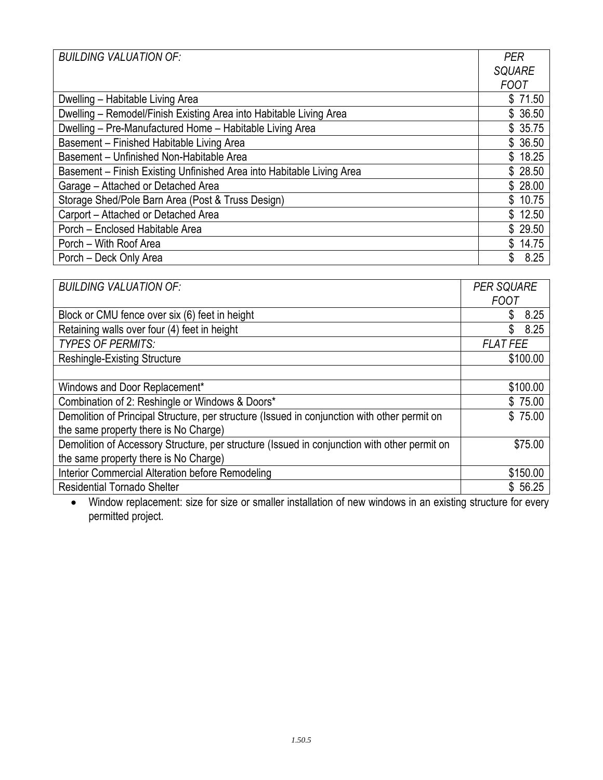| <b>BUILDING VALUATION OF:</b>                                         | <b>PER</b>    |
|-----------------------------------------------------------------------|---------------|
|                                                                       | <b>SQUARE</b> |
|                                                                       | <b>FOOT</b>   |
| Dwelling - Habitable Living Area                                      | \$71.50       |
| Dwelling - Remodel/Finish Existing Area into Habitable Living Area    | \$36.50       |
| Dwelling - Pre-Manufactured Home - Habitable Living Area              | \$35.75       |
| Basement - Finished Habitable Living Area                             | \$36.50       |
| Basement - Unfinished Non-Habitable Area                              | \$18.25       |
| Basement - Finish Existing Unfinished Area into Habitable Living Area | \$28.50       |
| Garage - Attached or Detached Area                                    | \$28.00       |
| Storage Shed/Pole Barn Area (Post & Truss Design)                     | \$10.75       |
| Carport - Attached or Detached Area                                   | \$12.50       |
| Porch - Enclosed Habitable Area                                       | \$29.50       |
| Porch - With Roof Area                                                | \$14.75       |
| Porch - Deck Only Area                                                | 8.25<br>\$    |

| <b>BUILDING VALUATION OF:</b>                                                                | <b>PER SQUARE</b> |
|----------------------------------------------------------------------------------------------|-------------------|
|                                                                                              | <b>FOOT</b>       |
| Block or CMU fence over six (6) feet in height                                               | 8.25<br>\$        |
| Retaining walls over four (4) feet in height                                                 | 8.25<br>\$        |
| <b>TYPES OF PERMITS:</b>                                                                     | <b>FLAT FEE</b>   |
| <b>Reshingle-Existing Structure</b>                                                          | \$100.00          |
|                                                                                              |                   |
| Windows and Door Replacement*                                                                | \$100.00          |
| Combination of 2: Reshingle or Windows & Doors*                                              | \$75.00           |
| Demolition of Principal Structure, per structure (Issued in conjunction with other permit on | \$75.00           |
| the same property there is No Charge)                                                        |                   |
| Demolition of Accessory Structure, per structure (Issued in conjunction with other permit on | \$75.00           |
| the same property there is No Charge)                                                        |                   |
| Interior Commercial Alteration before Remodeling                                             | \$150.00          |
| <b>Residential Tornado Shelter</b>                                                           | \$56.25           |

• Window replacement: size for size or smaller installation of new windows in an existing structure for every permitted project.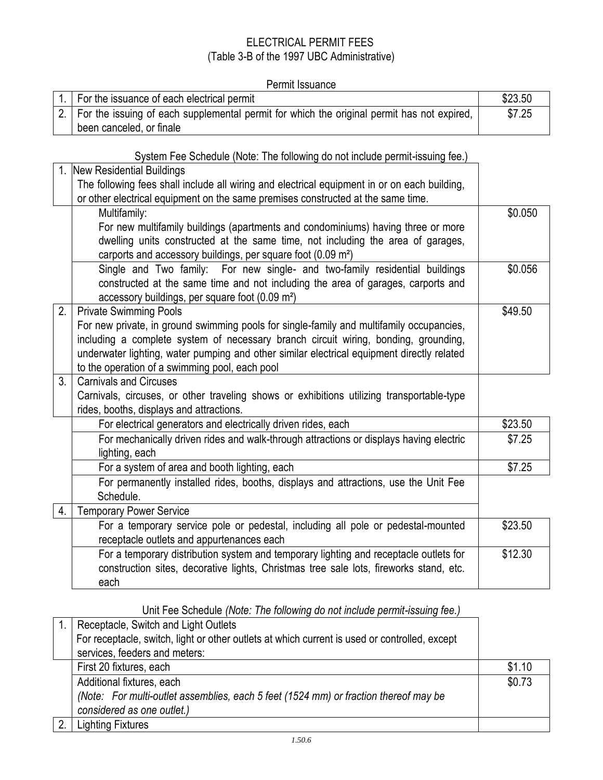# ELECTRICAL PERMIT FEES (Table 3-B of the 1997 UBC Administrative)

|  | Permit Issuance |
|--|-----------------|
|--|-----------------|

| 1. For the issuance of each electrical permit                                                   | \$23.50 |
|-------------------------------------------------------------------------------------------------|---------|
| 2.   For the issuing of each supplemental permit for which the original permit has not expired, | \$7.25  |
| been canceled, or finale                                                                        |         |

# System Fee Schedule (Note: The following do not include permit-issuing fee.)

|                  | 1. New Residential Buildings                                                                 |         |
|------------------|----------------------------------------------------------------------------------------------|---------|
|                  | The following fees shall include all wiring and electrical equipment in or on each building, |         |
|                  | or other electrical equipment on the same premises constructed at the same time.             |         |
|                  | Multifamily:                                                                                 | \$0.050 |
|                  | For new multifamily buildings (apartments and condominiums) having three or more             |         |
|                  | dwelling units constructed at the same time, not including the area of garages,              |         |
|                  | carports and accessory buildings, per square foot (0.09 m <sup>2</sup> )                     |         |
|                  | Single and Two family: For new single- and two-family residential buildings                  | \$0.056 |
|                  | constructed at the same time and not including the area of garages, carports and             |         |
|                  | accessory buildings, per square foot (0.09 m <sup>2</sup> )                                  |         |
| 2.               | <b>Private Swimming Pools</b>                                                                | \$49.50 |
|                  | For new private, in ground swimming pools for single-family and multifamily occupancies,     |         |
|                  | including a complete system of necessary branch circuit wiring, bonding, grounding,          |         |
|                  | underwater lighting, water pumping and other similar electrical equipment directly related   |         |
|                  | to the operation of a swimming pool, each pool                                               |         |
| 3.               | <b>Carnivals and Circuses</b>                                                                |         |
|                  | Carnivals, circuses, or other traveling shows or exhibitions utilizing transportable-type    |         |
|                  | rides, booths, displays and attractions.                                                     |         |
|                  | For electrical generators and electrically driven rides, each                                | \$23.50 |
|                  | For mechanically driven rides and walk-through attractions or displays having electric       | \$7.25  |
|                  | lighting, each                                                                               |         |
|                  | For a system of area and booth lighting, each                                                | \$7.25  |
|                  | For permanently installed rides, booths, displays and attractions, use the Unit Fee          |         |
|                  | Schedule.                                                                                    |         |
| $\overline{4}$ . | <b>Temporary Power Service</b>                                                               |         |
|                  | For a temporary service pole or pedestal, including all pole or pedestal-mounted             | \$23.50 |
|                  | receptacle outlets and appurtenances each                                                    |         |
|                  | For a temporary distribution system and temporary lighting and receptacle outlets for        | \$12.30 |
|                  | construction sites, decorative lights, Christmas tree sale lots, fireworks stand, etc.       |         |
|                  | each                                                                                         |         |

Unit Fee Schedule *(Note: The following do not include permit-issuing fee.)*

| Receptacle, Switch and Light Outlets                                                          |        |
|-----------------------------------------------------------------------------------------------|--------|
| For receptacle, switch, light or other outlets at which current is used or controlled, except |        |
| services, feeders and meters:                                                                 |        |
| First 20 fixtures, each                                                                       | \$1.10 |
| Additional fixtures, each                                                                     | \$0.73 |
| (Note: For multi-outlet assemblies, each 5 feet (1524 mm) or fraction thereof may be          |        |
| considered as one outlet.)                                                                    |        |
| <b>Lighting Fixtures</b>                                                                      |        |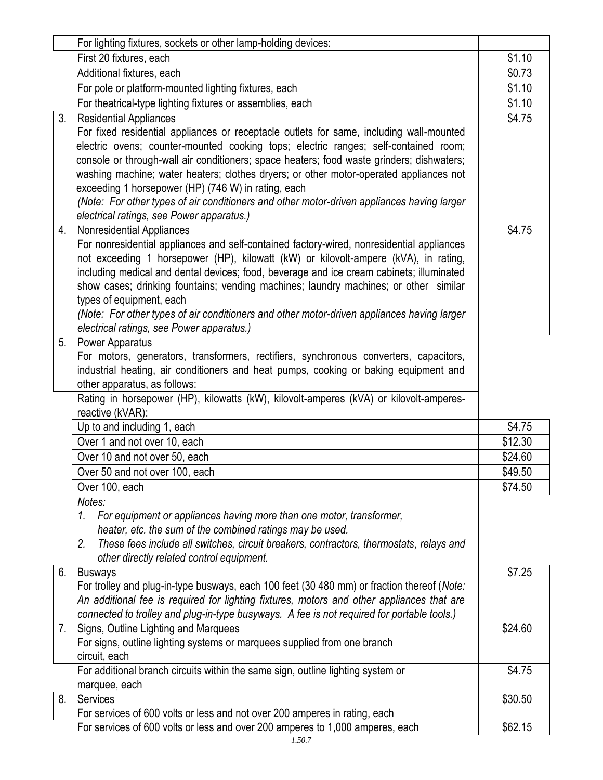|    | For lighting fixtures, sockets or other lamp-holding devices:                                                                           |         |
|----|-----------------------------------------------------------------------------------------------------------------------------------------|---------|
|    | First 20 fixtures, each                                                                                                                 | \$1.10  |
|    | Additional fixtures, each                                                                                                               | \$0.73  |
|    | For pole or platform-mounted lighting fixtures, each                                                                                    | \$1.10  |
|    | For theatrical-type lighting fixtures or assemblies, each                                                                               | \$1.10  |
| 3. | <b>Residential Appliances</b>                                                                                                           | \$4.75  |
|    | For fixed residential appliances or receptacle outlets for same, including wall-mounted                                                 |         |
|    | electric ovens; counter-mounted cooking tops; electric ranges; self-contained room;                                                     |         |
|    | console or through-wall air conditioners; space heaters; food waste grinders; dishwaters;                                               |         |
|    | washing machine; water heaters; clothes dryers; or other motor-operated appliances not                                                  |         |
|    | exceeding 1 horsepower (HP) (746 W) in rating, each                                                                                     |         |
|    | (Note: For other types of air conditioners and other motor-driven appliances having larger                                              |         |
|    | electrical ratings, see Power apparatus.)                                                                                               |         |
| 4. | <b>Nonresidential Appliances</b>                                                                                                        | \$4.75  |
|    | For nonresidential appliances and self-contained factory-wired, nonresidential appliances                                               |         |
|    | not exceeding 1 horsepower (HP), kilowatt (kW) or kilovolt-ampere (kVA), in rating,                                                     |         |
|    | including medical and dental devices; food, beverage and ice cream cabinets; illuminated                                                |         |
|    | show cases; drinking fountains; vending machines; laundry machines; or other similar                                                    |         |
|    | types of equipment, each                                                                                                                |         |
|    | (Note: For other types of air conditioners and other motor-driven appliances having larger                                              |         |
|    | electrical ratings, see Power apparatus.)                                                                                               |         |
| 5. | <b>Power Apparatus</b>                                                                                                                  |         |
|    | For motors, generators, transformers, rectifiers, synchronous converters, capacitors,                                                   |         |
|    | industrial heating, air conditioners and heat pumps, cooking or baking equipment and                                                    |         |
|    | other apparatus, as follows:                                                                                                            |         |
|    | Rating in horsepower (HP), kilowatts (kW), kilovolt-amperes (kVA) or kilovolt-amperes-<br>reactive (kVAR):                              |         |
|    | Up to and including 1, each                                                                                                             | \$4.75  |
|    | Over 1 and not over 10, each                                                                                                            | \$12.30 |
|    | Over 10 and not over 50, each                                                                                                           | \$24.60 |
|    | Over 50 and not over 100, each                                                                                                          | \$49.50 |
|    |                                                                                                                                         | \$74.50 |
|    | Over 100, each<br>Notes:                                                                                                                |         |
|    |                                                                                                                                         |         |
|    | For equipment or appliances having more than one motor, transformer,<br>1.<br>heater, etc. the sum of the combined ratings may be used. |         |
|    | These fees include all switches, circuit breakers, contractors, thermostats, relays and<br>2.                                           |         |
|    | other directly related control equipment.                                                                                               |         |
| 6. | <b>Busways</b>                                                                                                                          | \$7.25  |
|    | For trolley and plug-in-type busways, each 100 feet (30 480 mm) or fraction thereof (Note:                                              |         |
|    | An additional fee is required for lighting fixtures, motors and other appliances that are                                               |         |
|    | connected to trolley and plug-in-type busyways. A fee is not required for portable tools.)                                              |         |
| 7. | Signs, Outline Lighting and Marquees                                                                                                    | \$24.60 |
|    | For signs, outline lighting systems or marquees supplied from one branch                                                                |         |
|    | circuit, each                                                                                                                           |         |
|    | For additional branch circuits within the same sign, outline lighting system or                                                         | \$4.75  |
|    | marquee, each                                                                                                                           |         |
| 8. | Services                                                                                                                                | \$30.50 |
|    | For services of 600 volts or less and not over 200 amperes in rating, each                                                              |         |
|    | For services of 600 volts or less and over 200 amperes to 1,000 amperes, each                                                           | \$62.15 |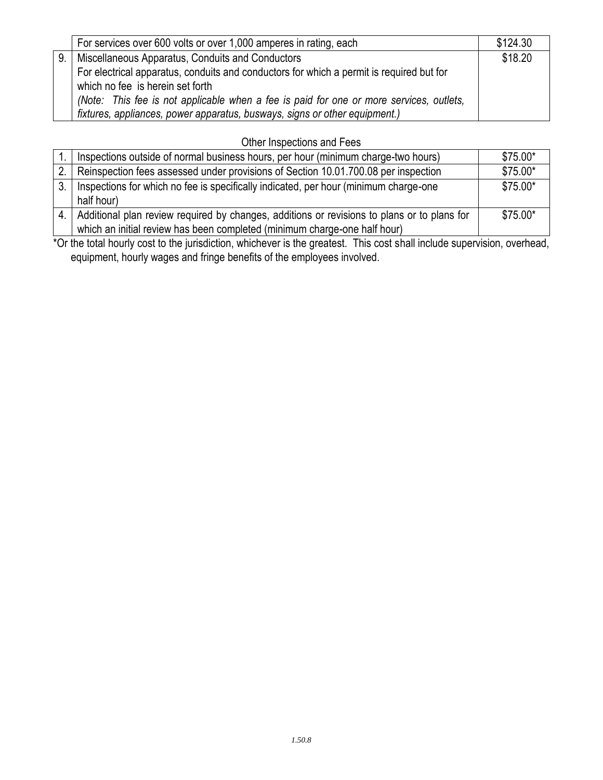| For services over 600 volts or over 1,000 amperes in rating, each                        | \$124.30 |
|------------------------------------------------------------------------------------------|----------|
| Miscellaneous Apparatus, Conduits and Conductors<br>9 <sub>1</sub>                       | \$18.20  |
| For electrical apparatus, conduits and conductors for which a permit is required but for |          |
| which no fee is herein set forth                                                         |          |
| (Note: This fee is not applicable when a fee is paid for one or more services, outlets,  |          |
| fixtures, appliances, power apparatus, busways, signs or other equipment.)               |          |

#### Other Inspections and Fees

|    | Inspections outside of normal business hours, per hour (minimum charge-two hours)                  | $$75.00*$ |
|----|----------------------------------------------------------------------------------------------------|-----------|
|    | 2.   Reinspection fees assessed under provisions of Section 10.01.700.08 per inspection            | \$75.00*  |
| 3. | Inspections for which no fee is specifically indicated, per hour (minimum charge-one<br>half hour) | \$75.00*  |
| 4  | Additional plan review required by changes, additions or revisions to plans or to plans for        | \$75.00*  |
|    | which an initial review has been completed (minimum charge-one half hour)                          |           |

\*Or the total hourly cost to the jurisdiction, whichever is the greatest. This cost shall include supervision, overhead, equipment, hourly wages and fringe benefits of the employees involved.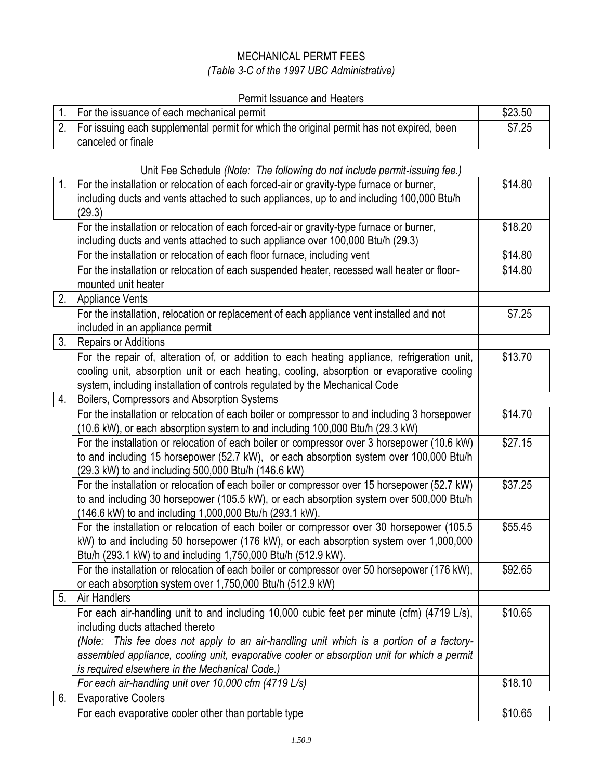# MECHANICAL PERMT FEES *(Table 3-C of the 1997 UBC Administrative)*

#### Permit Issuance and Heaters

| 1. For the issuance of each mechanical permit                                                 | \$23.50 |
|-----------------------------------------------------------------------------------------------|---------|
| 2.   For issuing each supplemental permit for which the original permit has not expired, been | \$7.25  |
| canceled or finale                                                                            |         |

## Unit Fee Schedule *(Note: The following do not include permit-issuing fee.)*

| 1.             | For the installation or relocation of each forced-air or gravity-type furnace or burner,<br>including ducts and vents attached to such appliances, up to and including 100,000 Btu/h                                                                                     | \$14.80 |
|----------------|--------------------------------------------------------------------------------------------------------------------------------------------------------------------------------------------------------------------------------------------------------------------------|---------|
|                | (29.3)                                                                                                                                                                                                                                                                   |         |
|                | For the installation or relocation of each forced-air or gravity-type furnace or burner,                                                                                                                                                                                 | \$18.20 |
|                | including ducts and vents attached to such appliance over 100,000 Btu/h (29.3)                                                                                                                                                                                           |         |
|                | For the installation or relocation of each floor furnace, including vent                                                                                                                                                                                                 | \$14.80 |
|                | For the installation or relocation of each suspended heater, recessed wall heater or floor-<br>mounted unit heater                                                                                                                                                       | \$14.80 |
| 2.             | <b>Appliance Vents</b>                                                                                                                                                                                                                                                   |         |
|                | For the installation, relocation or replacement of each appliance vent installed and not<br>included in an appliance permit                                                                                                                                              | \$7.25  |
| 3.             | Repairs or Additions                                                                                                                                                                                                                                                     |         |
|                | For the repair of, alteration of, or addition to each heating appliance, refrigeration unit,<br>cooling unit, absorption unit or each heating, cooling, absorption or evaporative cooling<br>system, including installation of controls regulated by the Mechanical Code | \$13.70 |
| 4.             | Boilers, Compressors and Absorption Systems                                                                                                                                                                                                                              |         |
|                | For the installation or relocation of each boiler or compressor to and including 3 horsepower<br>(10.6 kW), or each absorption system to and including 100,000 Btu/h (29.3 kW)                                                                                           | \$14.70 |
|                | For the installation or relocation of each boiler or compressor over 3 horsepower (10.6 kW)<br>to and including 15 horsepower (52.7 kW), or each absorption system over 100,000 Btu/h<br>(29.3 kW) to and including 500,000 Btu/h (146.6 kW)                             | \$27.15 |
|                | For the installation or relocation of each boiler or compressor over 15 horsepower (52.7 kW)<br>to and including 30 horsepower (105.5 kW), or each absorption system over 500,000 Btu/h<br>(146.6 kW) to and including 1,000,000 Btu/h (293.1 kW).                       | \$37.25 |
|                | For the installation or relocation of each boiler or compressor over 30 horsepower (105.5<br>kW) to and including 50 horsepower (176 kW), or each absorption system over 1,000,000<br>Btu/h (293.1 kW) to and including 1,750,000 Btu/h (512.9 kW).                      | \$55.45 |
|                | For the installation or relocation of each boiler or compressor over 50 horsepower (176 kW),<br>or each absorption system over 1,750,000 Btu/h (512.9 kW)                                                                                                                | \$92.65 |
| 5 <sub>1</sub> | <b>Air Handlers</b>                                                                                                                                                                                                                                                      |         |
|                | For each air-handling unit to and including 10,000 cubic feet per minute (cfm) (4719 L/s),<br>including ducts attached thereto                                                                                                                                           | \$10.65 |
|                | (Note: This fee does not apply to an air-handling unit which is a portion of a factory-<br>assembled appliance, cooling unit, evaporative cooler or absorption unit for which a permit<br>is required elsewhere in the Mechanical Code.)                                 |         |
|                | For each air-handling unit over 10,000 cfm (4719 L/s)                                                                                                                                                                                                                    | \$18.10 |
| 6.             | <b>Evaporative Coolers</b>                                                                                                                                                                                                                                               |         |
|                | For each evaporative cooler other than portable type                                                                                                                                                                                                                     | \$10.65 |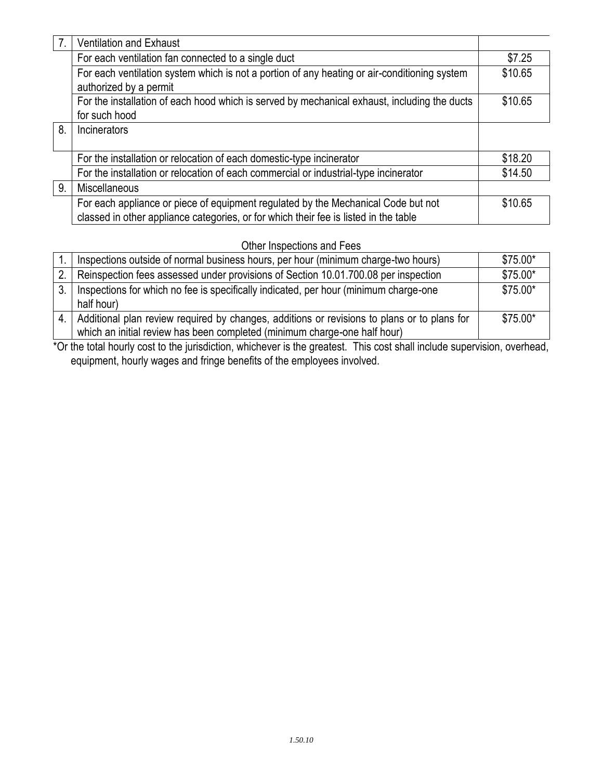|    | <b>Ventilation and Exhaust</b>                                                                                                                                            |         |
|----|---------------------------------------------------------------------------------------------------------------------------------------------------------------------------|---------|
|    | For each ventilation fan connected to a single duct                                                                                                                       | \$7.25  |
|    | For each ventilation system which is not a portion of any heating or air-conditioning system<br>authorized by a permit                                                    | \$10.65 |
|    | For the installation of each hood which is served by mechanical exhaust, including the ducts<br>for such hood                                                             | \$10.65 |
| 8. | Incinerators                                                                                                                                                              |         |
|    | For the installation or relocation of each domestic-type incinerator                                                                                                      | \$18.20 |
|    | For the installation or relocation of each commercial or industrial-type incinerator                                                                                      | \$14.50 |
| 9. | Miscellaneous                                                                                                                                                             |         |
|    | For each appliance or piece of equipment regulated by the Mechanical Code but not<br>classed in other appliance categories, or for which their fee is listed in the table | \$10.65 |

# Other Inspections and Fees

|     | Inspections outside of normal business hours, per hour (minimum charge-two hours)           | $$75.00*$ |
|-----|---------------------------------------------------------------------------------------------|-----------|
|     | 2.   Reinspection fees assessed under provisions of Section 10.01.700.08 per inspection     | \$75.00*  |
| 3.1 | Inspections for which no fee is specifically indicated, per hour (minimum charge-one        | \$75.00*  |
|     | half hour)                                                                                  |           |
| 4   | Additional plan review required by changes, additions or revisions to plans or to plans for | \$75.00*  |
|     | which an initial review has been completed (minimum charge-one half hour)                   |           |

\*Or the total hourly cost to the jurisdiction, whichever is the greatest. This cost shall include supervision, overhead, equipment, hourly wages and fringe benefits of the employees involved.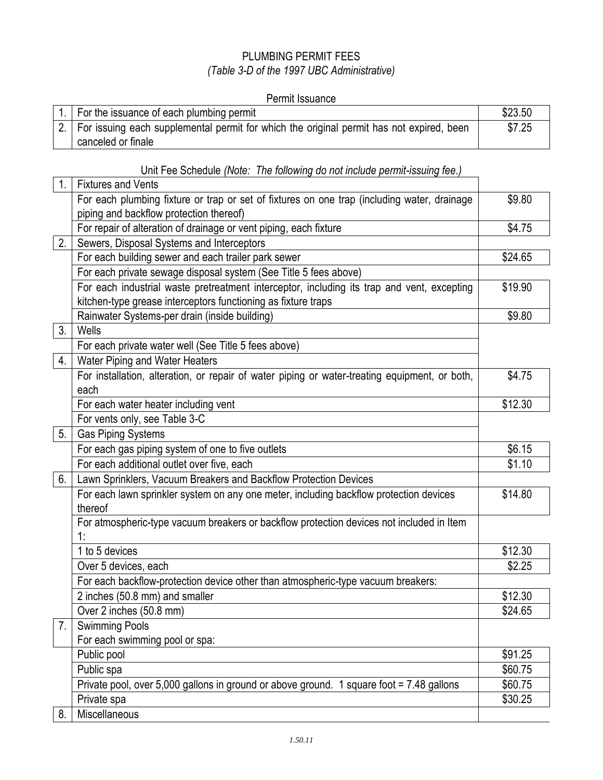## PLUMBING PERMIT FEES *(Table 3-D of the 1997 UBC Administrative)*

|  | Permit Issuance |
|--|-----------------|
|--|-----------------|

| 1. For the issuance of each plumbing permit                                                 | \$23.50 |
|---------------------------------------------------------------------------------------------|---------|
| 2. For issuing each supplemental permit for which the original permit has not expired, been | \$7.25  |
| canceled or finale                                                                          |         |

# Unit Fee Schedule *(Note: The following do not include permit-issuing fee.)*

| 1.             | <b>Fixtures and Vents</b>                                                                         |         |
|----------------|---------------------------------------------------------------------------------------------------|---------|
|                | For each plumbing fixture or trap or set of fixtures on one trap (including water, drainage       | \$9.80  |
|                | piping and backflow protection thereof)                                                           |         |
|                | For repair of alteration of drainage or vent piping, each fixture                                 | \$4.75  |
| 2.             | Sewers, Disposal Systems and Interceptors                                                         |         |
|                | For each building sewer and each trailer park sewer                                               | \$24.65 |
|                | For each private sewage disposal system (See Title 5 fees above)                                  |         |
|                | For each industrial waste pretreatment interceptor, including its trap and vent, excepting        | \$19.90 |
|                | kitchen-type grease interceptors functioning as fixture traps                                     |         |
|                | Rainwater Systems-per drain (inside building)                                                     | \$9.80  |
| 3 <sub>1</sub> | Wells                                                                                             |         |
|                | For each private water well (See Title 5 fees above)                                              |         |
| 4.             | Water Piping and Water Heaters                                                                    |         |
|                | For installation, alteration, or repair of water piping or water-treating equipment, or both,     | \$4.75  |
|                | each<br>For each water heater including vent                                                      | \$12.30 |
|                |                                                                                                   |         |
|                | For vents only, see Table 3-C                                                                     |         |
| 5 <sub>1</sub> | <b>Gas Piping Systems</b>                                                                         | \$6.15  |
|                | For each gas piping system of one to five outlets                                                 |         |
|                | For each additional outlet over five, each                                                        | \$1.10  |
| 6.             | Lawn Sprinklers, Vacuum Breakers and Backflow Protection Devices                                  |         |
|                | For each lawn sprinkler system on any one meter, including backflow protection devices<br>thereof | \$14.80 |
|                | For atmospheric-type vacuum breakers or backflow protection devices not included in Item          |         |
|                | 1:<br>1 to 5 devices                                                                              | \$12.30 |
|                |                                                                                                   |         |
|                | Over 5 devices, each                                                                              | \$2.25  |
|                | For each backflow-protection device other than atmospheric-type vacuum breakers:                  |         |
|                | 2 inches (50.8 mm) and smaller                                                                    | \$12.30 |
|                | Over 2 inches (50.8 mm)                                                                           | \$24.65 |
| 7.             | <b>Swimming Pools</b>                                                                             |         |
|                | For each swimming pool or spa:                                                                    |         |
|                | Public pool                                                                                       | \$91.25 |
|                | Public spa                                                                                        | \$60.75 |
|                | Private pool, over 5,000 gallons in ground or above ground. 1 square foot = 7.48 gallons          | \$60.75 |
|                | Private spa                                                                                       | \$30.25 |
| 8.             | Miscellaneous                                                                                     |         |